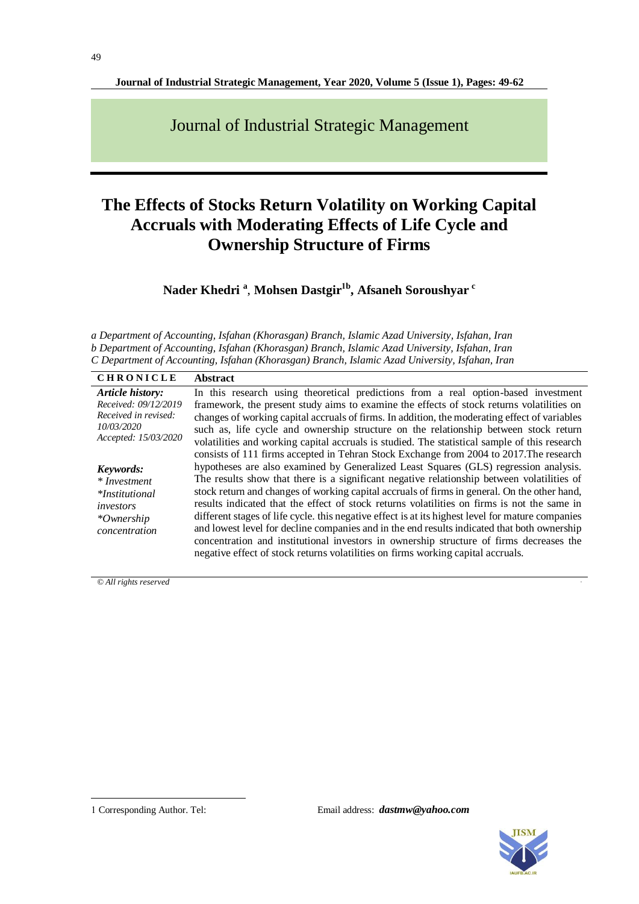**Journal of Industrial Strategic Management, Year 2020, Volume 5 (Issue 1), Pages: 49-62**

Journal of Industrial Strategic Management

# **The Effects of Stocks Return Volatility on Working Capital Accruals with Moderating Effects of Life Cycle and Ownership Structure of Firms**

**Nader Khedri <sup>a</sup>** , **Mohsen Dastgir1b , Afsaneh Soroushyar <sup>c</sup>**

*a Department of Accounting, Isfahan (Khorasgan) Branch, Islamic Azad University, Isfahan, Iran b Department of Accounting, Isfahan (Khorasgan) Branch, Islamic Azad University, Isfahan, Iran C Department of Accounting, Isfahan (Khorasgan) Branch, Islamic Azad University, Isfahan, Iran*

| <b>CHRONICLE</b>                   | <b>Abstract</b>                                                                                   |
|------------------------------------|---------------------------------------------------------------------------------------------------|
| Article history:                   | In this research using theoretical predictions from a real option-based investment                |
| Received: 09/12/2019               | framework, the present study aims to examine the effects of stock returns volatilities on         |
| Received in revised:               | changes of working capital accruals of firms. In addition, the moderating effect of variables     |
| 10/03/2020<br>Accepted: 15/03/2020 | such as, life cycle and ownership structure on the relationship between stock return              |
|                                    | volatilities and working capital accruals is studied. The statistical sample of this research     |
|                                    | consists of 111 firms accepted in Tehran Stock Exchange from 2004 to 2017. The research           |
| Keywords:                          | hypotheses are also examined by Generalized Least Squares (GLS) regression analysis.              |
| * Investment                       | The results show that there is a significant negative relationship between volatilities of        |
| <i>*Institutional</i>              | stock return and changes of working capital accruals of firms in general. On the other hand,      |
| investors                          | results indicated that the effect of stock returns volatilities on firms is not the same in       |
| *Ownership<br>concentration        | different stages of life cycle. this negative effect is at its highest level for mature companies |
|                                    | and lowest level for decline companies and in the end results indicated that both ownership       |
|                                    | concentration and institutional investors in ownership structure of firms decreases the           |
|                                    | negative effect of stock returns volatilities on firms working capital accruals.                  |

*© All rights reserved* .

-

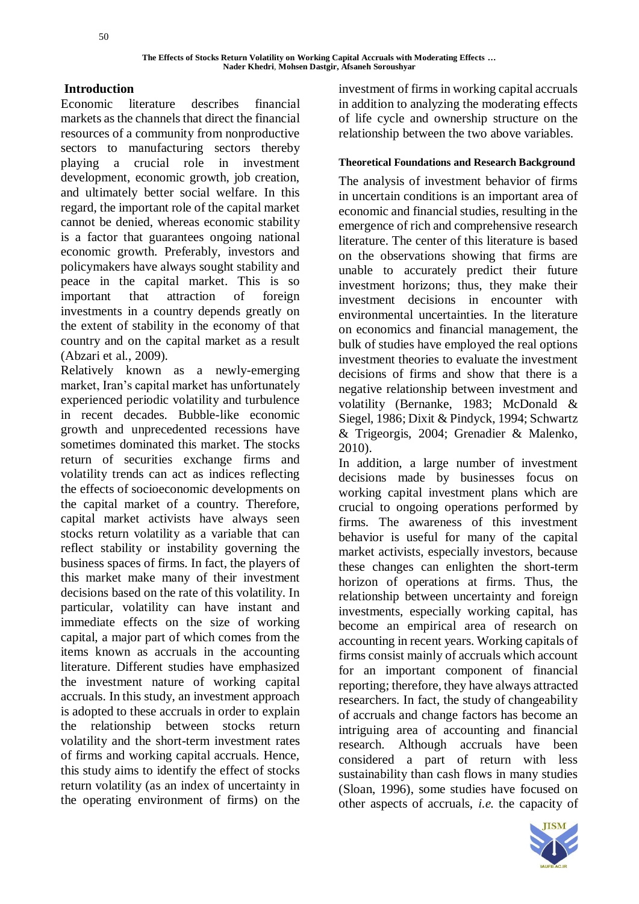# **Introduction**

Economic literature describes financial markets as the channels that direct the financial resources of a community from nonproductive sectors to manufacturing sectors thereby playing a crucial role in investment development, economic growth, job creation, and ultimately better social welfare. In this regard, the important role of the capital market cannot be denied, whereas economic stability is a factor that guarantees ongoing national economic growth. Preferably, investors and policymakers have always sought stability and peace in the capital market. This is so important that attraction of foreign investments in a country depends greatly on the extent of stability in the economy of that country and on the capital market as a result (Abzari et al., 2009).

Relatively known as a newly-emerging market, Iran's capital market has unfortunately experienced periodic volatility and turbulence in recent decades. Bubble-like economic growth and unprecedented recessions have sometimes dominated this market. The stocks return of securities exchange firms and volatility trends can act as indices reflecting the effects of socioeconomic developments on the capital market of a country. Therefore, capital market activists have always seen stocks return volatility as a variable that can reflect stability or instability governing the business spaces of firms. In fact, the players of this market make many of their investment decisions based on the rate of this volatility. In particular, volatility can have instant and immediate effects on the size of working capital, a major part of which comes from the items known as accruals in the accounting literature. Different studies have emphasized the investment nature of working capital accruals. In this study, an investment approach is adopted to these accruals in order to explain the relationship between stocks return volatility and the short-term investment rates of firms and working capital accruals. Hence, this study aims to identify the effect of stocks return volatility (as an index of uncertainty in the operating environment of firms) on the

investment of firms in working capital accruals in addition to analyzing the moderating effects of life cycle and ownership structure on the relationship between the two above variables.

### **Theoretical Foundations and Research Background**

The analysis of investment behavior of firms in uncertain conditions is an important area of economic and financial studies, resulting in the emergence of rich and comprehensive research literature. The center of this literature is based on the observations showing that firms are unable to accurately predict their future investment horizons; thus, they make their investment decisions in encounter with environmental uncertainties. In the literature on economics and financial management, the bulk of studies have employed the real options investment theories to evaluate the investment decisions of firms and show that there is a negative relationship between investment and volatility (Bernanke, 1983; McDonald & Siegel, 1986; Dixit & Pindyck, 1994; Schwartz & Trigeorgis, 2004; Grenadier & Malenko, 2010).

In addition, a large number of investment decisions made by businesses focus on working capital investment plans which are crucial to ongoing operations performed by firms. The awareness of this investment behavior is useful for many of the capital market activists, especially investors, because these changes can enlighten the short-term horizon of operations at firms. Thus, the relationship between uncertainty and foreign investments, especially working capital, has become an empirical area of research on accounting in recent years. Working capitals of firms consist mainly of accruals which account for an important component of financial reporting; therefore, they have always attracted researchers. In fact, the study of changeability of accruals and change factors has become an intriguing area of accounting and financial research. Although accruals have been considered a part of return with less sustainability than cash flows in many studies (Sloan, 1996), some studies have focused on other aspects of accruals, *i.e.* the capacity of

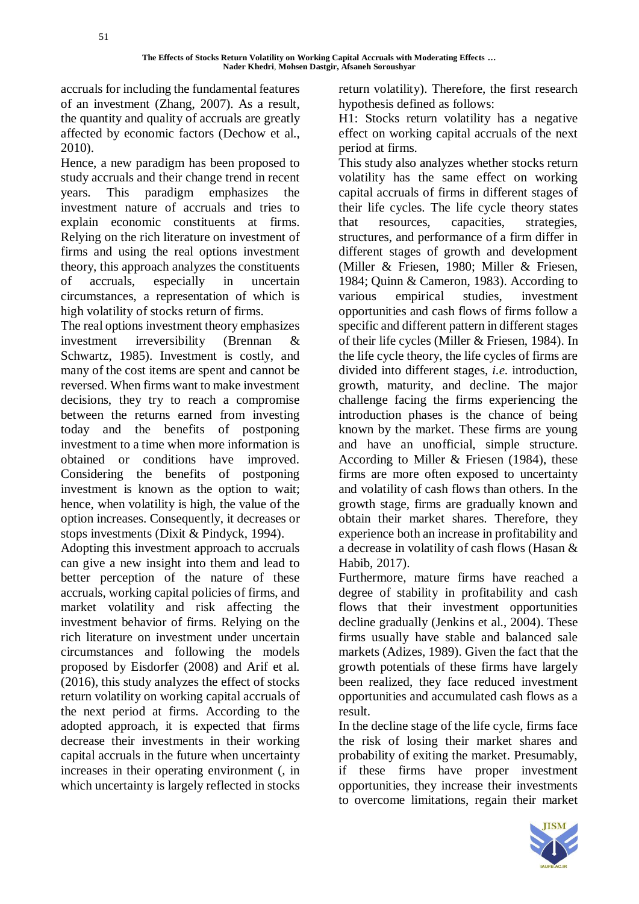accruals for including the fundamental features of an investment (Zhang, 2007). As a result, the quantity and quality of accruals are greatly affected by economic factors (Dechow et al., 2010).

Hence, a new paradigm has been proposed to study accruals and their change trend in recent years. This paradigm emphasizes the investment nature of accruals and tries to explain economic constituents at firms. Relying on the rich literature on investment of firms and using the real options investment theory, this approach analyzes the constituents of accruals, especially in uncertain circumstances, a representation of which is high volatility of stocks return of firms.

The real options investment theory emphasizes investment irreversibility (Brennan & Schwartz, 1985). Investment is costly, and many of the cost items are spent and cannot be reversed. When firms want to make investment decisions, they try to reach a compromise between the returns earned from investing today and the benefits of postponing investment to a time when more information is obtained or conditions have improved. Considering the benefits of postponing investment is known as the option to wait; hence, when volatility is high, the value of the option increases. Consequently, it decreases or stops investments (Dixit & Pindyck, 1994).

Adopting this investment approach to accruals can give a new insight into them and lead to better perception of the nature of these accruals, working capital policies of firms, and market volatility and risk affecting the investment behavior of firms. Relying on the rich literature on investment under uncertain circumstances and following the models proposed by Eisdorfer (2008) and Arif et al. (2016), this study analyzes the effect of stocks return volatility on working capital accruals of the next period at firms. According to the adopted approach, it is expected that firms decrease their investments in their working capital accruals in the future when uncertainty increases in their operating environment (, in which uncertainty is largely reflected in stocks

return volatility). Therefore, the first research hypothesis defined as follows:

H1: Stocks return volatility has a negative effect on working capital accruals of the next period at firms.

This study also analyzes whether stocks return volatility has the same effect on working capital accruals of firms in different stages of their life cycles. The life cycle theory states that resources, capacities, strategies, structures, and performance of a firm differ in different stages of growth and development (Miller & Friesen, 1980; Miller & Friesen, 1984; Quinn & Cameron, 1983). According to various empirical studies, investment opportunities and cash flows of firms follow a specific and different pattern in different stages of their life cycles (Miller & Friesen, 1984). In the life cycle theory, the life cycles of firms are divided into different stages, *i.e.* introduction, growth, maturity, and decline. The major challenge facing the firms experiencing the introduction phases is the chance of being known by the market. These firms are young and have an unofficial, simple structure. According to Miller & Friesen (1984), these firms are more often exposed to uncertainty and volatility of cash flows than others. In the growth stage, firms are gradually known and obtain their market shares. Therefore, they experience both an increase in profitability and a decrease in volatility of cash flows (Hasan & Habib, 2017).

Furthermore, mature firms have reached a degree of stability in profitability and cash flows that their investment opportunities decline gradually (Jenkins et al., 2004). These firms usually have stable and balanced sale markets (Adizes, 1989). Given the fact that the growth potentials of these firms have largely been realized, they face reduced investment opportunities and accumulated cash flows as a result.

In the decline stage of the life cycle, firms face the risk of losing their market shares and probability of exiting the market. Presumably, if these firms have proper investment opportunities, they increase their investments to overcome limitations, regain their market

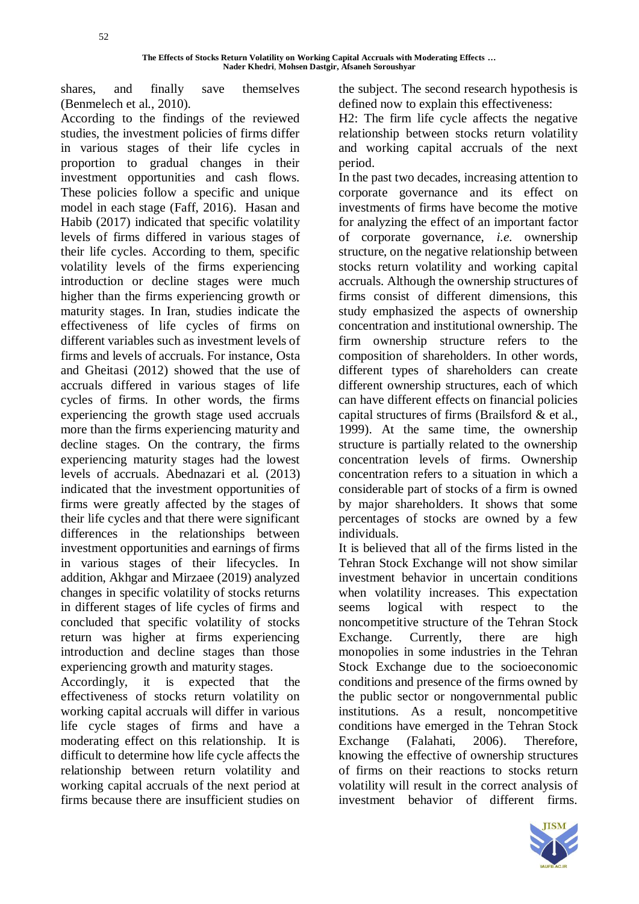shares, and finally save themselves (Benmelech et al., 2010).

According to the findings of the reviewed studies, the investment policies of firms differ in various stages of their life cycles in proportion to gradual changes in their investment opportunities and cash flows. These policies follow a specific and unique model in each stage (Faff, 2016). Hasan and Habib (2017) indicated that specific volatility levels of firms differed in various stages of their life cycles. According to them, specific volatility levels of the firms experiencing introduction or decline stages were much higher than the firms experiencing growth or maturity stages. In Iran, studies indicate the effectiveness of life cycles of firms on different variables such as investment levels of firms and levels of accruals. For instance, Osta and Gheitasi (2012) showed that the use of accruals differed in various stages of life cycles of firms. In other words, the firms experiencing the growth stage used accruals more than the firms experiencing maturity and decline stages. On the contrary, the firms experiencing maturity stages had the lowest levels of accruals. Abednazari et al*.* (2013) indicated that the investment opportunities of firms were greatly affected by the stages of their life cycles and that there were significant differences in the relationships between investment opportunities and earnings of firms in various stages of their lifecycles. In addition, Akhgar and Mirzaee (2019) analyzed changes in specific volatility of stocks returns in different stages of life cycles of firms and concluded that specific volatility of stocks return was higher at firms experiencing introduction and decline stages than those experiencing growth and maturity stages.

Accordingly, it is expected that the effectiveness of stocks return volatility on working capital accruals will differ in various life cycle stages of firms and have a moderating effect on this relationship. It is difficult to determine how life cycle affects the relationship between return volatility and working capital accruals of the next period at firms because there are insufficient studies on

the subject. The second research hypothesis is defined now to explain this effectiveness:

H2: The firm life cycle affects the negative relationship between stocks return volatility and working capital accruals of the next period.

In the past two decades, increasing attention to corporate governance and its effect on investments of firms have become the motive for analyzing the effect of an important factor of corporate governance, *i.e.* ownership structure, on the negative relationship between stocks return volatility and working capital accruals. Although the ownership structures of firms consist of different dimensions, this study emphasized the aspects of ownership concentration and institutional ownership. The firm ownership structure refers to the composition of shareholders. In other words, different types of shareholders can create different ownership structures, each of which can have different effects on financial policies capital structures of firms (Brailsford & et al., 1999). At the same time, the ownership structure is partially related to the ownership concentration levels of firms. Ownership concentration refers to a situation in which a considerable part of stocks of a firm is owned by major shareholders. It shows that some percentages of stocks are owned by a few individuals.

It is believed that all of the firms listed in the Tehran Stock Exchange will not show similar investment behavior in uncertain conditions when volatility increases. This expectation seems logical with respect to the noncompetitive structure of the Tehran Stock Exchange. Currently, there are high monopolies in some industries in the Tehran Stock Exchange due to the socioeconomic conditions and presence of the firms owned by the public sector or nongovernmental public institutions. As a result, noncompetitive conditions have emerged in the Tehran Stock Exchange (Falahati, 2006). Therefore, knowing the effective of ownership structures of firms on their reactions to stocks return volatility will result in the correct analysis of investment behavior of different firms.

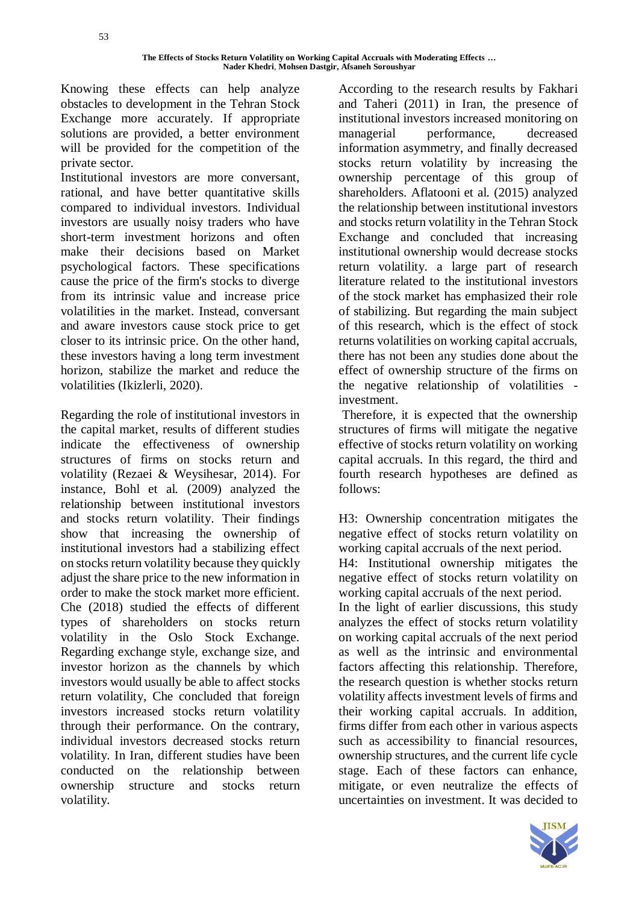Knowing these effects can help analyze obstacles to development in the Tehran Stock Exchange more accurately. If appropriate solutions are provided, a better environment will be provided for the competition of the private sector.

Institutional investors are more conversant, rational, and have better quantitative skills compared to individual investors. Individual investors are usually noisy traders who have short-term investment horizons and often make their decisions based on Market psychological factors. These specifications cause the price of the firm's stocks to diverge from its intrinsic value and increase price volatilities in the market. Instead, conversant and aware investors cause stock price to get closer to its intrinsic price. On the other hand, these investors having a long term investment horizon, stabilize the market and reduce the volatilities (Ikizlerli, 2020).

Regarding the role of institutional investors in the capital market, results of different studies indicate the effectiveness of ownership structures of firms on stocks return and volatility (Rezaei & Weysihesar, 2014). For instance, Bohl et al*.* (2009) analyzed the relationship between institutional investors and stocks return volatility. Their findings show that increasing the ownership of institutional investors had a stabilizing effect on stocks return volatility because they quickly adjust the share price to the new information in order to make the stock market more efficient. Che (2018) studied the effects of different types of shareholders on stocks return volatility in the Oslo Stock Exchange. Regarding exchange style, exchange size, and investor horizon as the channels by which investors would usually be able to affect stocks return volatility, Che concluded that foreign investors increased stocks return volatility through their performance. On the contrary, individual investors decreased stocks return volatility. In Iran, different studies have been conducted on the relationship between ownership structure and stocks return volatility.

According to the research results by Fakhari and Taheri (2011) in Iran, the presence of institutional investors increased monitoring on managerial performance, decreased information asymmetry, and finally decreased stocks return volatility by increasing the ownership percentage of this group of shareholders. Aflatooni et al*.* (2015) analyzed the relationship between institutional investors and stocks return volatility in the Tehran Stock Exchange and concluded that increasing institutional ownership would decrease stocks return volatility. a large part of research literature related to the institutional investors of the stock market has emphasized their role of stabilizing. But regarding the main subject of this research, which is the effect of stock returns volatilities on working capital accruals, there has not been any studies done about the effect of ownership structure of the firms on the negative relationship of volatilities investment.

Therefore, it is expected that the ownership structures of firms will mitigate the negative effective of stocks return volatility on working capital accruals. In this regard, the third and fourth research hypotheses are defined as follows:

H3: Ownership concentration mitigates the negative effect of stocks return volatility on working capital accruals of the next period. H4: Institutional ownership mitigates the negative effect of stocks return volatility on working capital accruals of the next period. In the light of earlier discussions, this study analyzes the effect of stocks return volatility on working capital accruals of the next period as well as the intrinsic and environmental factors affecting this relationship. Therefore, the research question is whether stocks return volatility affects investment levels of firms and their working capital accruals. In addition, firms differ from each other in various aspects such as accessibility to financial resources, ownership structures, and the current life cycle stage. Each of these factors can enhance, mitigate, or even neutralize the effects of uncertainties on investment. It was decided to

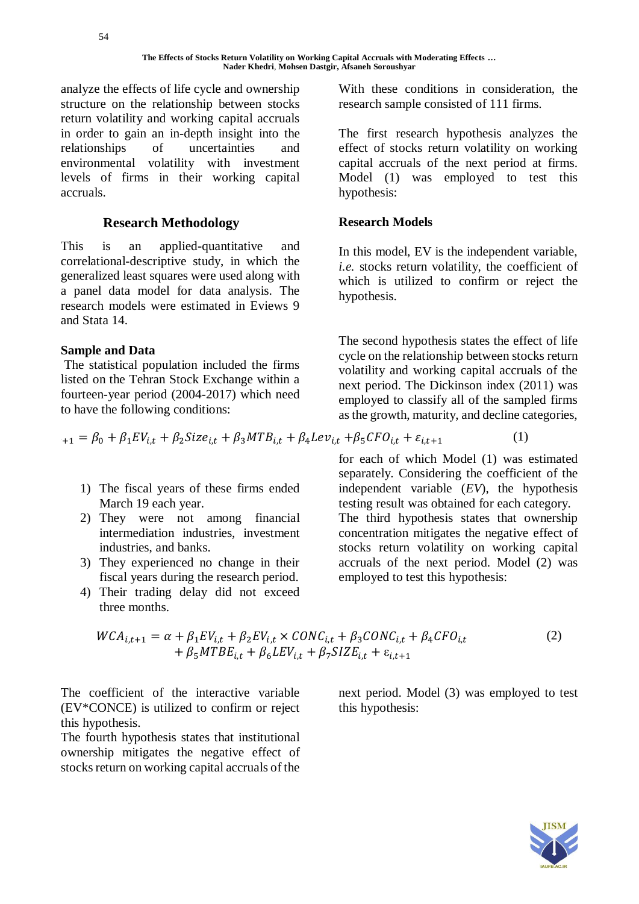analyze the effects of life cycle and ownership structure on the relationship between stocks return volatility and working capital accruals in order to gain an in-depth insight into the relationships of uncertainties and environmental volatility with investment levels of firms in their working capital accruals.

# **Research Methodology**

This is an applied-quantitative and correlational-descriptive study, in which the generalized least squares were used along with a panel data model for data analysis. The research models were estimated in Eviews 9 and Stata 14.

# **Sample and Data**

The statistical population included the firms listed on the Tehran Stock Exchange within a fourteen-year period (2004-2017) which need to have the following conditions:

 $\kappa_{+1} = \beta_0 + \beta_1 EV_{i,t} + \beta_2 Size_{i,t} + \beta_3 MTB_{i,t} + \beta_4 Lev_{i,t} + \beta_5 CFO_{i,t} + \varepsilon_{i,t+1}$  (1)

- 1) The fiscal years of these firms ended March 19 each year.
- 2) They were not among financial intermediation industries, investment industries, and banks.
- 3) They experienced no change in their fiscal years during the research period.
- 4) Their trading delay did not exceed three months.

With these conditions in consideration, the research sample consisted of 111 firms.

The first research hypothesis analyzes the effect of stocks return volatility on working capital accruals of the next period at firms. Model (1) was employed to test this hypothesis:

# **Research Models**

In this model, EV is the independent variable, *i.e.* stocks return volatility, the coefficient of which is utilized to confirm or reject the hypothesis.

The second hypothesis states the effect of life cycle on the relationship between stocks return volatility and working capital accruals of the next period. The Dickinson index (2011) was employed to classify all of the sampled firms as the growth, maturity, and decline categories,

for each of which Model (1) was estimated insidering the coefficient of the independent variable (*EV*), the hypothesis testing result was obtained for each category. The third hypothesis states that ownership concentration mitigates the negative effect of stocks return volatility on working capital accruals of the next period. Model (2) was employed to test this hypothesis:

$$
WCA_{i,t+1} = \alpha + \beta_1 EV_{i,t} + \beta_2 EV_{i,t} \times CONC_{i,t} + \beta_3 CONC_{i,t} + \beta_4 CFO_{i,t}
$$
  
+ 
$$
\beta_5 MTBE_{i,t} + \beta_6 LEV_{i,t} + \beta_7 SIZE_{i,t} + \varepsilon_{i,t+1}
$$
 (2)

The coefficient of the interactive variable (EV\*CONCE) is utilized to confirm or reject this hypothesis.

The fourth hypothesis states that institutional ownership mitigates the negative effect of stocks return on working capital accruals of the

next period. Model (3) was employed to test this hypothesis:

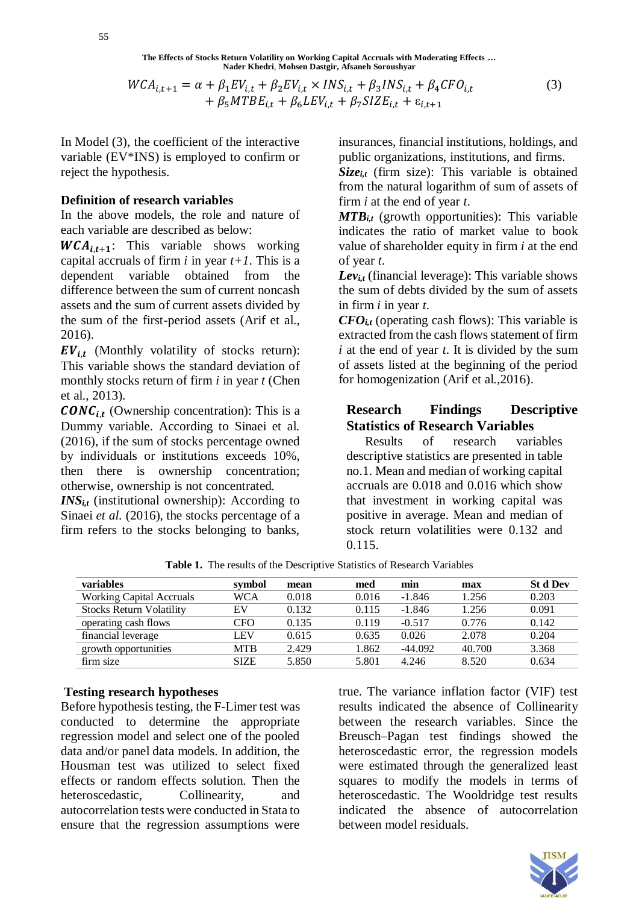$$
WCA_{i,t+1} = \alpha + \beta_1 EV_{i,t} + \beta_2 EV_{i,t} \times INS_{i,t} + \beta_3 INS_{i,t} + \beta_4 CFO_{i,t} + \beta_5 MTB_{i,t} + \beta_6 LEV_{i,t} + \beta_7 SIZE_{i,t} + \varepsilon_{i,t+1}
$$
 (3)

In Model (3), the coefficient of the interactive variable (EV\*INS) is employed to confirm or reject the hypothesis.

## **Definition of research variables**

In the above models, the role and nature of each variable are described as below:

 $WCA_{i,t+1}$ : This variable shows working capital accruals of firm  $i$  in year  $t+1$ . This is a dependent variable obtained from the difference between the sum of current noncash assets and the sum of current assets divided by the sum of the first-period assets (Arif et al., 2016).

 $EV_{i,t}$  (Monthly volatility of stocks return): This variable shows the standard deviation of monthly stocks return of firm *i* in year *t* (Chen et al., 2013).

 $\mathbf{CONC}_{i,t}$  (Ownership concentration): This is a Dummy variable. According to Sinaei et al. (2016), if the sum of stocks percentage owned by individuals or institutions exceeds 10%, then there is ownership concentration; otherwise, ownership is not concentrated.

 $INS_{it}$  (institutional ownership): According to Sinaei *et al.* (2016), the stocks percentage of a firm refers to the stocks belonging to banks,

insurances, financial institutions, holdings, and public organizations, institutions, and firms.

 $Size_{i,t}$  (firm size): This variable is obtained from the natural logarithm of sum of assets of firm *i* at the end of year *t*.

 $MTB_{i,t}$  (growth opportunities): This variable indicates the ratio of market value to book value of shareholder equity in firm *i* at the end of year *t*.

 $Lev_{i,t}$  (financial leverage): This variable shows the sum of debts divided by the sum of assets in firm *i* in year *t*.

 $CFO<sub>i,t</sub>$  (operating cash flows): This variable is extracted from the cash flows statement of firm *i* at the end of year *t*. It is divided by the sum of assets listed at the beginning of the period for homogenization (Arif et al.,2016).

# **Research Findings Descriptive Statistics of Research Variables**

Results of research variables descriptive statistics are presented in table no.1. Mean and median of working capital accruals are 0.018 and 0.016 which show that investment in working capital was positive in average. Mean and median of stock return volatilities were 0.132 and 0.115.

| <b>variables</b>                | symbol      | mean  | med   | min       | max    | <b>St d Dev</b> |
|---------------------------------|-------------|-------|-------|-----------|--------|-----------------|
| <b>Working Capital Accruals</b> | WCA         | 0.018 | 0.016 | $-1.846$  | 1.256  | 0.203           |
| <b>Stocks Return Volatility</b> | EV          | 0.132 | 0.115 | $-1.846$  | 1.256  | 0.091           |
| operating cash flows            | CFO         | 0.135 | 0.119 | $-0.517$  | 0.776  | 0.142           |
| financial leverage              | LEV         | 0.615 | 0.635 | 0.026     | 2.078  | 0.204           |
| growth opportunities            | <b>MTB</b>  | 2.429 | 1.862 | $-44.092$ | 40.700 | 3.368           |
| firm size                       | <b>SIZE</b> | 5.850 | 5.801 | 4.246     | 8.520  | 0.634           |

**Table 1.** The results of the Descriptive Statistics of Research Variables

### **Testing research hypotheses**

Before hypothesis testing, the F-Limer test was conducted to determine the appropriate regression model and select one of the pooled data and/or panel data models. In addition, the Housman test was utilized to select fixed effects or random effects solution. Then the heteroscedastic. Collinearity, and autocorrelation tests were conducted in Stata to ensure that the regression assumptions were

true. The variance inflation factor (VIF) test results indicated the absence of Collinearity between the research variables. Since the Breusch–Pagan test findings showed the heteroscedastic error, the regression models were estimated through the generalized least squares to modify the models in terms of heteroscedastic. The Wooldridge test results indicated the absence of autocorrelation between model residuals.

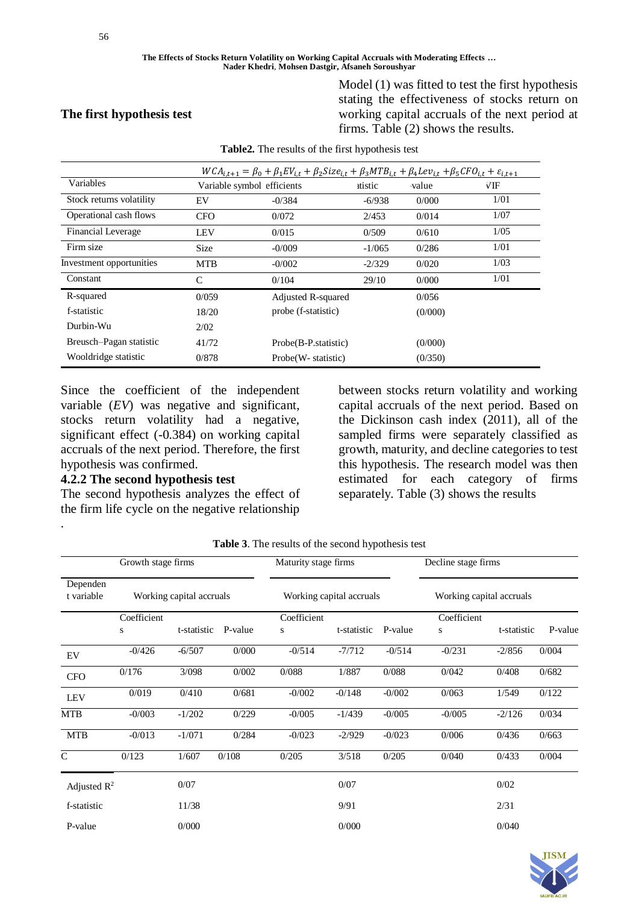**The first hypothesis test**

#### **The Effects of Stocks Return Volatility on Working Capital Accruals with Moderating Effects … Nader Khedri**, **Mohsen Dastgir, Afsaneh Soroushyar**

Model (1) was fitted to test the first hypothesis stating the effectiveness of stocks return on working capital accruals of the next period at firms. Table (2) shows the results.

|                           |             | $WCA_{i,t+1} = \beta_0 + \beta_1 EV_{i,t} + \beta_2 Size_{i,t} + \beta_3 MTB_{i,t} + \beta_4 Lev_{i,t} + \beta_5 CFO_{i,t} + \varepsilon_{i,t+1}$ |          |         |      |
|---------------------------|-------------|---------------------------------------------------------------------------------------------------------------------------------------------------|----------|---------|------|
| Variables                 |             | Variable symbol efficients                                                                                                                        | ttistic  | value   | VIF  |
| Stock returns volatility  | EV          | $-0/384$                                                                                                                                          | $-6/938$ | 0/000   | 1/01 |
| Operational cash flows    | <b>CFO</b>  | 0/072                                                                                                                                             | 2/453    | 0/014   | 1/07 |
| <b>Financial Leverage</b> | LEV         | 0/015                                                                                                                                             | 0/509    | 0/610   | 1/05 |
| Firm size                 | <b>Size</b> | $-0/009$                                                                                                                                          | $-1/065$ | 0/286   | 1/01 |
| Investment opportunities  | <b>MTB</b>  | $-0/002$                                                                                                                                          | $-2/329$ | 0/020   | 1/03 |
| Constant                  | C           | 0/104                                                                                                                                             | 29/10    | 0/000   | 1/01 |
| R-squared                 | 0/059       | Adjusted R-squared                                                                                                                                |          | 0/056   |      |
| f-statistic               | 18/20       | probe (f-statistic)                                                                                                                               |          | (0/000) |      |
| Durbin-Wu                 | 2/02        |                                                                                                                                                   |          |         |      |
| Breusch-Pagan statistic   | 41/72       | Probe(B-P.statistic)                                                                                                                              |          | (0/000) |      |
| Wooldridge statistic      | 0/878       | Probe (W- statistic)                                                                                                                              |          | (0/350) |      |

**Table2.** The results of the first hypothesis test

Since the coefficient of the independent variable (*EV*) was negative and significant, stocks return volatility had a negative, significant effect (-0.384) on working capital accruals of the next period. Therefore, the first hypothesis was confirmed.

## **4.2.2 The second hypothesis test**

.

The second hypothesis analyzes the effect of the firm life cycle on the negative relationship

between stocks return volatility and working capital accruals of the next period. Based on the Dickinson cash index (2011), all of the sampled firms were separately classified as growth, maturity, and decline categories to test this hypothesis. The research model was then estimated for each category of firms separately. Table (3) shows the results

|                        | Growth stage firms       |             | Maturity stage firms |                          | Decline stage firms |                          |                  |             |         |
|------------------------|--------------------------|-------------|----------------------|--------------------------|---------------------|--------------------------|------------------|-------------|---------|
| Dependen<br>t variable | Working capital accruals |             |                      | Working capital accruals |                     | Working capital accruals |                  |             |         |
|                        | Coefficient<br>S         | t-statistic | P-value              | Coefficient<br>S         | t-statistic         | P-value                  | Coefficient<br>S | t-statistic | P-value |
| EV                     | $-0/426$                 | $-6/507$    | 0/000                | $-0/514$                 | $-7/712$            | $-0/514$                 | $-0/231$         | $-2/856$    | 0/004   |
| <b>CFO</b>             | 0/176                    | 3/098       | 0/002                | 0/088                    | 1/887               | 0/088                    | 0/042            | 0/408       | 0/682   |
| <b>LEV</b>             | 0/019                    | 0/410       | 0/681                | $-0/002$                 | $-0/148$            | $-0/002$                 | 0/063            | 1/549       | 0/122   |
| <b>MTB</b>             | $-0/003$                 | $-1/202$    | 0/229                | $-0/005$                 | $-1/439$            | $-0/005$                 | $-0/005$         | $-2/126$    | 0/034   |
| <b>MTB</b>             | $-0/013$                 | $-1/071$    | 0/284                | $-0/023$                 | $-2/929$            | $-0/023$                 | 0/006            | 0/436       | 0/663   |
| $\mathcal{C}$          | 0/123                    | 1/607       | 0/108                | 0/205                    | 3/518               | 0/205                    | 0/040            | 0/433       | 0/004   |
| Adjusted $R^2$         |                          | 0/07        |                      |                          | 0/07                |                          |                  | 0/02        |         |
| f-statistic            |                          | 11/38       |                      |                          | 9/91                |                          |                  | 2/31        |         |
| P-value                |                          | 0/000       |                      |                          | 0/000               |                          |                  | 0/040       |         |

**Table 3**. The results of the second hypothesis test

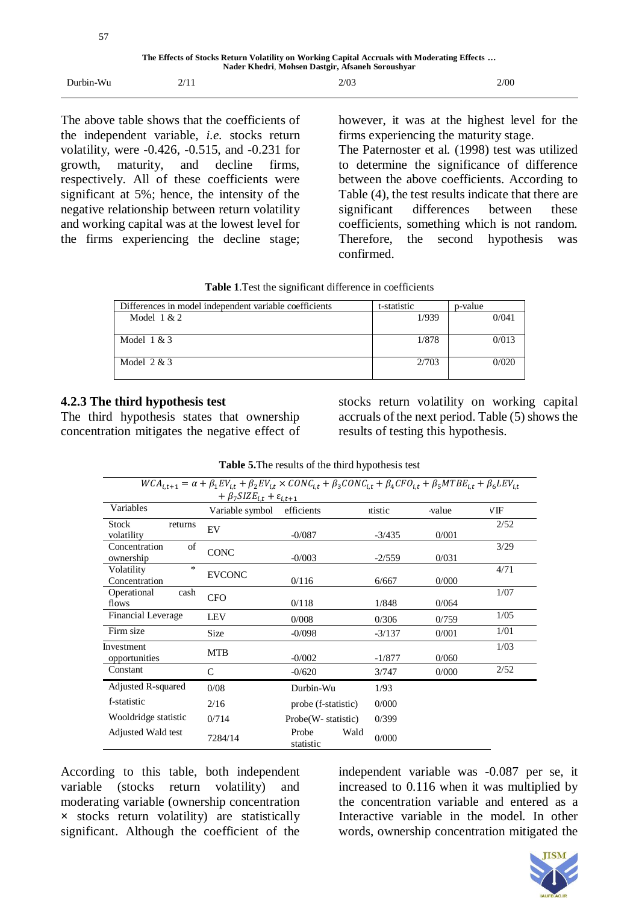| 57                                                                                                                                              |      |      |      |  |
|-------------------------------------------------------------------------------------------------------------------------------------------------|------|------|------|--|
| The Effects of Stocks Return Volatility on Working Capital Accruals with Moderating Effects<br>Nader Khedri, Mohsen Dastgir, Afsaneh Soroushyar |      |      |      |  |
| Durbin-Wu                                                                                                                                       | 2/11 | 2/03 | 2/00 |  |

The above table shows that the coefficients of the independent variable, *i.e.* stocks return volatility, were -0.426, -0.515, and -0.231 for growth, maturity, and decline firms, respectively. All of these coefficients were significant at 5%; hence, the intensity of the negative relationship between return volatility and working capital was at the lowest level for the firms experiencing the decline stage;

however, it was at the highest level for the firms experiencing the maturity stage. The Paternoster et al*.* (1998) test was utilized to determine the significance of difference between the above coefficients. According to Table (4), the test results indicate that there are significant differences between these coefficients, something which is not random. Therefore, the second hypothesis was confirmed.

|  | Table 1. Test the significant difference in coefficients |
|--|----------------------------------------------------------|
|--|----------------------------------------------------------|

| Differences in model independent variable coefficients | t-statistic | p-value |
|--------------------------------------------------------|-------------|---------|
| Model $1 & 2$                                          | 1/939       | 0/041   |
| Model $1 & 3$                                          | 1/878       | 0/013   |
| Model $2 & 3$                                          | 2/703       | 0/020   |

# **4.2.3 The third hypothesis test**

The third hypothesis states that ownership concentration mitigates the negative effect of stocks return volatility on working capital accruals of the next period. Table (5) shows the results of testing this hypothesis.

| $WCA_{i,t+1} = \alpha + \beta_1 EV_{i,t} + \beta_2 EV_{i,t} \times CONC_{i,t} + \beta_3 CONC_{i,t} + \beta_4 CFO_{i,t} + \beta_5 MTBE_{i,t} + \beta_6 LEV_{i,t}$ |                                                         |                            |          |       |      |  |  |
|------------------------------------------------------------------------------------------------------------------------------------------------------------------|---------------------------------------------------------|----------------------------|----------|-------|------|--|--|
|                                                                                                                                                                  | + $\beta_7$ SIZE <sub>i.t</sub> + $\varepsilon_{i.t+1}$ |                            |          |       |      |  |  |
| Variables                                                                                                                                                        | Variable symbol                                         | efficients                 | itistic  | value | √IF  |  |  |
| <b>Stock</b><br>returns<br>volatility                                                                                                                            | EV                                                      | $-0/087$                   | $-3/435$ | 0/001 | 2/52 |  |  |
| of<br>Concentration<br>ownership                                                                                                                                 | <b>CONC</b>                                             | $-0/003$                   | $-2/559$ | 0/031 | 3/29 |  |  |
| *<br>Volatility<br>Concentration                                                                                                                                 | <b>EVCONC</b>                                           | 0/116                      | 6/667    | 0/000 | 4/71 |  |  |
| Operational<br>cash<br>flows                                                                                                                                     | <b>CFO</b>                                              | 0/118                      | 1/848    | 0/064 | 1/07 |  |  |
| Financial Leverage                                                                                                                                               | <b>LEV</b>                                              | 0/008                      | 0/306    | 0/759 | 1/05 |  |  |
| Firm size                                                                                                                                                        | Size                                                    | $-0/098$                   | $-3/137$ | 0/001 | 1/01 |  |  |
| Investment<br>opportunities                                                                                                                                      | <b>MTB</b>                                              | $-0/002$                   | $-1/877$ | 0/060 | 1/03 |  |  |
| Constant                                                                                                                                                         | $\mathsf{C}$                                            | $-0/620$                   | 3/747    | 0/000 | 2/52 |  |  |
| Adjusted R-squared                                                                                                                                               | 0/08                                                    | Durbin-Wu                  | 1/93     |       |      |  |  |
| f-statistic                                                                                                                                                      | 2/16                                                    | probe (f-statistic)        | 0/000    |       |      |  |  |
| Wooldridge statistic                                                                                                                                             | 0/714                                                   | Probe(W- statistic)        | 0/399    |       |      |  |  |
| Adjusted Wald test                                                                                                                                               | 7284/14                                                 | Probe<br>Wald<br>statistic | 0/000    |       |      |  |  |

**Table 5.**The results of the third hypothesis test

According to this table, both independent variable (stocks return volatility) and moderating variable (ownership concentration **×** stocks return volatility) are statistically significant. Although the coefficient of the independent variable was -0.087 per se, it increased to 0.116 when it was multiplied by the concentration variable and entered as a Interactive variable in the model. In other words, ownership concentration mitigated the

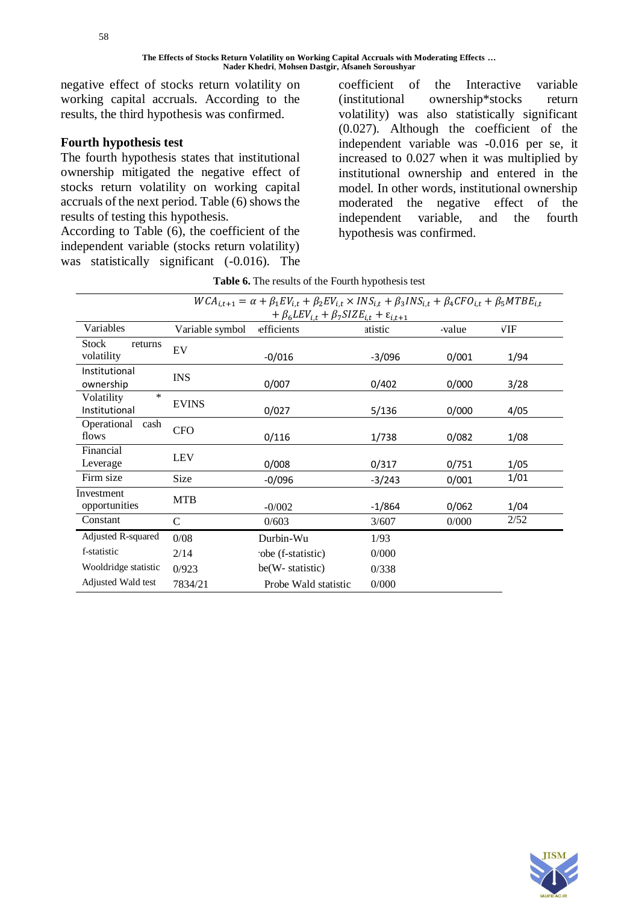negative effect of stocks return volatility on working capital accruals. According to the results, the third hypothesis was confirmed.

## **Fourth hypothesis test**

The fourth hypothesis states that institutional ownership mitigated the negative effect of stocks return volatility on working capital accruals of the next period. Table (6) shows the results of testing this hypothesis.

According to Table (6), the coefficient of the independent variable (stocks return volatility) was statistically significant (-0.016). The coefficient of the Interactive variable (institutional ownership\*stocks return volatility) was also statistically significant (0.027). Although the coefficient of the independent variable was -0.016 per se, it increased to 0.027 when it was multiplied by institutional ownership and entered in the model. In other words, institutional ownership moderated the negative effect of the independent variable, and the fourth hypothesis was confirmed.

| $WCA_{i,t+1} = \alpha + \beta_1 EV_{i,t} + \beta_2 EV_{i,t} \times INS_{i,t} + \beta_3 INS_{i,t} + \beta_4 CFO_{i,t} + \beta_5 MTBE_{i,t}$ |                 |                      |          |       |      |  |  |
|--------------------------------------------------------------------------------------------------------------------------------------------|-----------------|----------------------|----------|-------|------|--|--|
| + $\beta_6$ LEV <sub>it</sub> + $\beta_7$ SIZE <sub>it</sub> + $\varepsilon_{i,t+1}$                                                       |                 |                      |          |       |      |  |  |
| Variables                                                                                                                                  | Variable symbol | efficients           | atistic  | value | VIF  |  |  |
| <b>Stock</b><br>returns<br>volatility                                                                                                      | EV              | $-0/016$             | $-3/096$ | 0/001 | 1/94 |  |  |
| Institutional<br>ownership                                                                                                                 | <b>INS</b>      | 0/007                | 0/402    | 0/000 | 3/28 |  |  |
| $\ast$<br>Volatility<br>Institutional                                                                                                      | <b>EVINS</b>    | 0/027                | 5/136    | 0/000 | 4/05 |  |  |
| Operational<br>cash<br>flows                                                                                                               | <b>CFO</b>      | 0/116                | 1/738    | 0/082 | 1/08 |  |  |
| Financial<br>Leverage                                                                                                                      | <b>LEV</b>      | 0/008                | 0/317    | 0/751 | 1/05 |  |  |
| Firm size                                                                                                                                  | Size            | $-0/096$             | $-3/243$ | 0/001 | 1/01 |  |  |
| Investment<br>opportunities                                                                                                                | <b>MTB</b>      | $-0/002$             | $-1/864$ | 0/062 | 1/04 |  |  |
| Constant                                                                                                                                   | $\mathsf{C}$    | 0/603                | 3/607    | 0/000 | 2/52 |  |  |
| Adjusted R-squared                                                                                                                         | 0/08            | Durbin-Wu            | 1/93     |       |      |  |  |
| f-statistic                                                                                                                                | 2/14            | obe (f-statistic)    | 0/000    |       |      |  |  |
| Wooldridge statistic                                                                                                                       | 0/923           | be(W-statistic)      | 0/338    |       |      |  |  |
| Adjusted Wald test                                                                                                                         | 7834/21         | Probe Wald statistic | 0/000    |       |      |  |  |

**Table 6.** The results of the Fourth hypothesis test

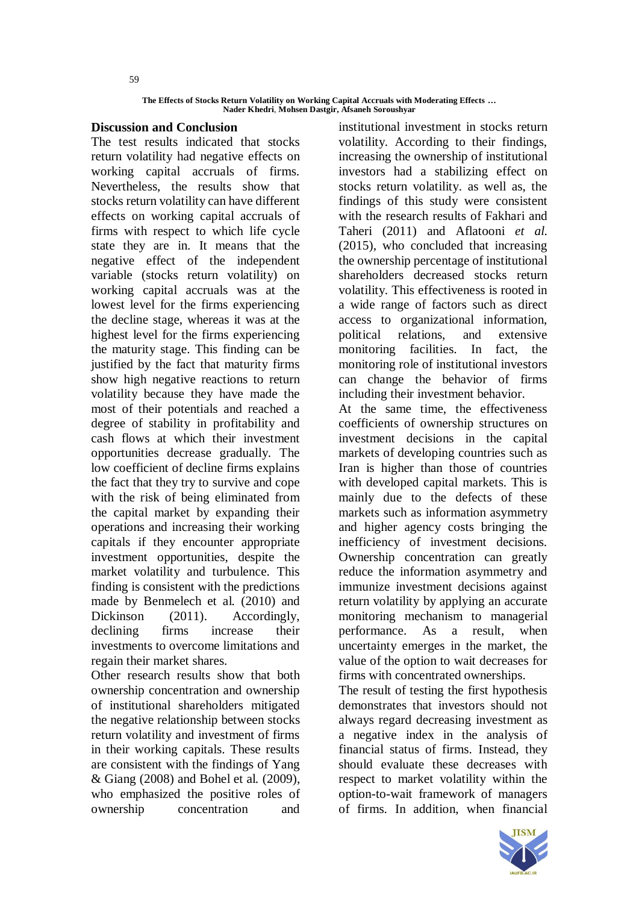**The Effects of Stocks Return Volatility on Working Capital Accruals with Moderating Effects … Nader Khedri**, **Mohsen Dastgir, Afsaneh Soroushyar**

## **Discussion and Conclusion**

The test results indicated that stocks return volatility had negative effects on working capital accruals of firms. Nevertheless, the results show that stocks return volatility can have different effects on working capital accruals of firms with respect to which life cycle state they are in. It means that the negative effect of the independent variable (stocks return volatility) on working capital accruals was at the lowest level for the firms experiencing the decline stage, whereas it was at the highest level for the firms experiencing the maturity stage. This finding can be justified by the fact that maturity firms show high negative reactions to return volatility because they have made the most of their potentials and reached a degree of stability in profitability and cash flows at which their investment opportunities decrease gradually. The low coefficient of decline firms explains the fact that they try to survive and cope with the risk of being eliminated from the capital market by expanding their operations and increasing their working capitals if they encounter appropriate investment opportunities, despite the market volatility and turbulence. This finding is consistent with the predictions made by Benmelech et al*.* (2010) and Dickinson (2011). Accordingly, declining firms increase their investments to overcome limitations and regain their market shares.

Other research results show that both ownership concentration and ownership of institutional shareholders mitigated the negative relationship between stocks return volatility and investment of firms in their working capitals. These results are consistent with the findings of Yang & Giang (2008) and Bohel et al*.* (2009), who emphasized the positive roles of ownership concentration and

institutional investment in stocks return volatility. According to their findings, increasing the ownership of institutional investors had a stabilizing effect on stocks return volatility. as well as, the findings of this study were consistent with the research results of Fakhari and Taheri (2011) and Aflatooni *et al.* (2015), who concluded that increasing the ownership percentage of institutional shareholders decreased stocks return volatility. This effectiveness is rooted in a wide range of factors such as direct access to organizational information, political relations, and extensive monitoring facilities. In fact, the monitoring role of institutional investors can change the behavior of firms including their investment behavior.

At the same time, the effectiveness coefficients of ownership structures on investment decisions in the capital markets of developing countries such as Iran is higher than those of countries with developed capital markets. This is mainly due to the defects of these markets such as information asymmetry and higher agency costs bringing the inefficiency of investment decisions. Ownership concentration can greatly reduce the information asymmetry and immunize investment decisions against return volatility by applying an accurate monitoring mechanism to managerial performance. As a result, when uncertainty emerges in the market, the value of the option to wait decreases for firms with concentrated ownerships.

The result of testing the first hypothesis demonstrates that investors should not always regard decreasing investment as a negative index in the analysis of financial status of firms. Instead, they should evaluate these decreases with respect to market volatility within the option-to-wait framework of managers of firms. In addition, when financial

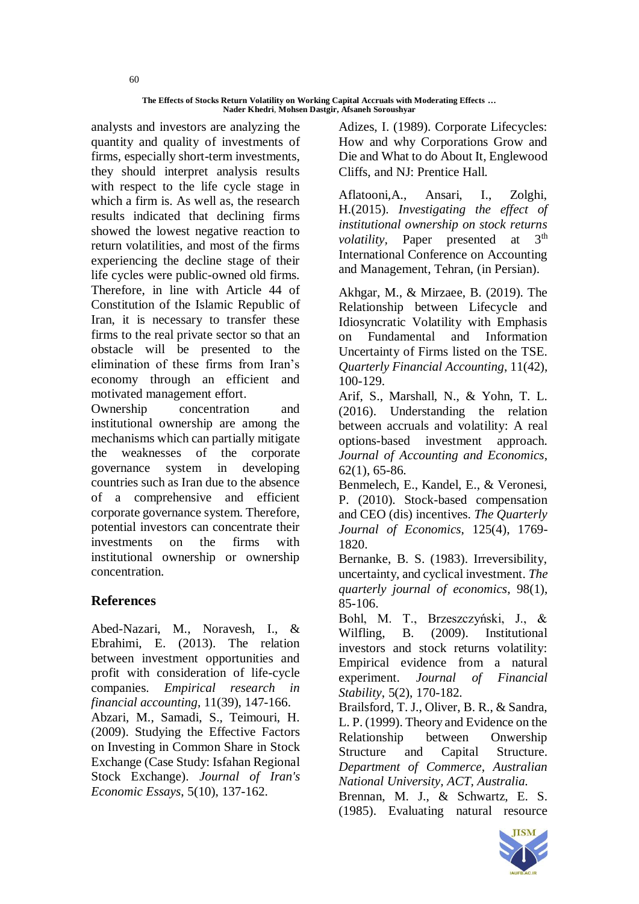analysts and investors are analyzing the quantity and quality of investments of firms, especially short-term investments, they should interpret analysis results with respect to the life cycle stage in which a firm is. As well as, the research results indicated that declining firms showed the lowest negative reaction to return volatilities, and most of the firms experiencing the decline stage of their life cycles were public-owned old firms. Therefore, in line with Article 44 of Constitution of the Islamic Republic of Iran, it is necessary to transfer these firms to the real private sector so that an obstacle will be presented to the elimination of these firms from Iran's economy through an efficient and motivated management effort.

Ownership concentration and institutional ownership are among the mechanisms which can partially mitigate the weaknesses of the corporate governance system in developing countries such as Iran due to the absence of a comprehensive and efficient corporate governance system. Therefore, potential investors can concentrate their investments on the firms with institutional ownership or ownership concentration.

# **References**

Abed-Nazari, M., Noravesh, I., & Ebrahimi, E. (2013). The relation between investment opportunities and profit with consideration of life-cycle companies. *Empirical research in financial accounting*, 11(39), 147-166. Abzari, M., Samadi, S., Teimouri, H. (2009). Studying the Effective Factors on Investing in Common Share in Stock Exchange (Case Study: Isfahan Regional Stock Exchange). *Journal of Iran's Economic Essays*, 5(10), 137-162.

Adizes, I. (1989). Corporate Lifecycles: How and why Corporations Grow and Die and What to do About It, Englewood Cliffs, and NJ: Prentice Hall.

Aflatooni,A., Ansari, I., Zolghi, H.(2015). *Investigating the effect of institutional ownership on stock returns volatility*, Paper presented at 3<sup>th</sup> International Conference on Accounting and Management, Tehran, (in Persian).

Akhgar, M., & Mirzaee, B. (2019). The Relationship between Lifecycle and Idiosyncratic Volatility with Emphasis on Fundamental and Information Uncertainty of Firms listed on the TSE. *Quarterly Financial Accounting*, 11(42), 100-129.

Arif, S., Marshall, N., & Yohn, T. L. (2016). Understanding the relation between accruals and volatility: A real options-based investment approach. *Journal of Accounting and Economics*, 62(1), 65-86.

Benmelech, E., Kandel, E., & Veronesi, P. (2010). Stock-based compensation and CEO (dis) incentives. *The Quarterly Journal of Economics*, 125(4), 1769- 1820.

Bernanke, B. S. (1983). Irreversibility, uncertainty, and cyclical investment. *The quarterly journal of economics*, 98(1), 85-106.

Bohl, M. T., Brzeszczyński, J., & Wilfling, B. (2009). Institutional investors and stock returns volatility: Empirical evidence from a natural experiment. *Journal of Financial Stability*, 5(2), 170-182.

Brailsford, T. J., Oliver, B. R., & Sandra, L. P. (1999). Theory and Evidence on the Relationship between Onwership Structure and Capital Structure. *Department of Commerce, Australian National University, ACT, Australia.*

Brennan, M. J., & Schwartz, E. S. (1985). Evaluating natural resource



60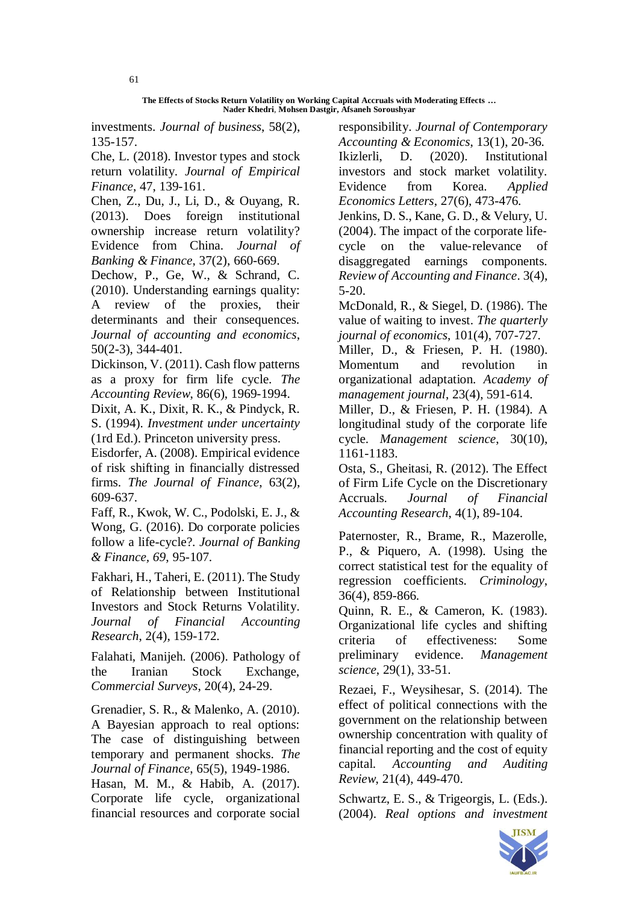investments. *Journal of business*, 58(2), 135-157.

Che, L. (2018). Investor types and stock return volatility. *Journal of Empirical Finance*, 47, 139-161.

Chen, Z., Du, J., Li, D., & Ouyang, R. (2013). Does foreign institutional ownership increase return volatility? Evidence from China. *Journal of Banking & Finance*, 37(2), 660-669.

Dechow, P., Ge, W., & Schrand, C. (2010). Understanding earnings quality: A review of the proxies, their determinants and their consequences. *Journal of accounting and economics*, 50(2-3), 344-401.

Dickinson, V. (2011). Cash flow patterns as a proxy for firm life cycle. *The Accounting Review*, 86(6), 1969-1994.

Dixit, A. K., Dixit, R. K., & Pindyck, R. S. (1994). *Investment under uncertainty* (1rd Ed.). Princeton university press.

Eisdorfer, A. (2008). Empirical evidence of risk shifting in financially distressed firms. *The Journal of Finance*, 63(2), 609-637.

Faff, R., Kwok, W. C., Podolski, E. J., & Wong, G. (2016). Do corporate policies follow a life-cycle?. *Journal of Banking & Finance, 69*, 95-107.

Fakhari, H., Taheri, E. (2011). The Study of Relationship between Institutional Investors and Stock Returns Volatility. *Journal of Financial Accounting Research*, 2(4), 159-172.

Falahati, Manijeh. (2006). Pathology of the Iranian Stock Exchange, *Commercial Surveys*, 20(4), 24-29.

Grenadier, S. R., & Malenko, A. (2010). A Bayesian approach to real options: The case of distinguishing between temporary and permanent shocks. *The Journal of Finance*, 65(5), 1949-1986. Hasan, M. M., & Habib, A. (2017). Corporate life cycle, organizational financial resources and corporate social

responsibility. *Journal of Contemporary Accounting & Economics*, 13(1), 20-36. Ikizlerli, D. (2020). Institutional investors and stock market volatility. Evidence from Korea. *Applied Economics Letters*, 27(6), 473-476.

Jenkins, D. S., Kane, G. D., & Velury, U. (2004). The impact of the corporate life‐ cycle on the value‐relevance of disaggregated earnings components. *Review of Accounting and Finance*. 3(4), 5-20.

McDonald, R., & Siegel, D. (1986). The value of waiting to invest. *The quarterly journal of economics*, 101(4), 707-727.

Miller, D., & Friesen, P. H. (1980). Momentum and revolution in organizational adaptation. *Academy of management journal*, 23(4), 591-614.

Miller, D., & Friesen, P. H. (1984). A longitudinal study of the corporate life cycle. *Management science*, 30(10), 1161-1183.

Osta, S., Gheitasi, R. (2012). The Effect of Firm Life Cycle on the Discretionary Accruals. *Journal of Financial Accounting Research*, 4(1), 89-104.

Paternoster, R., Brame, R., Mazerolle, P., & Piquero, A. (1998). Using the correct statistical test for the equality of regression coefficients. *Criminology*, 36(4), 859-866.

Quinn, R. E., & Cameron, K. (1983). Organizational life cycles and shifting criteria of effectiveness: Some preliminary evidence. *Management science*, 29(1), 33-51.

Rezaei, F., Weysihesar, S. (2014). The effect of political connections with the government on the relationship between ownership concentration with quality of financial reporting and the cost of equity capital. *Accounting and Auditing Review*, 21(4), 449-470.

Schwartz, E. S., & Trigeorgis, L. (Eds.). (2004). *Real options and investment*